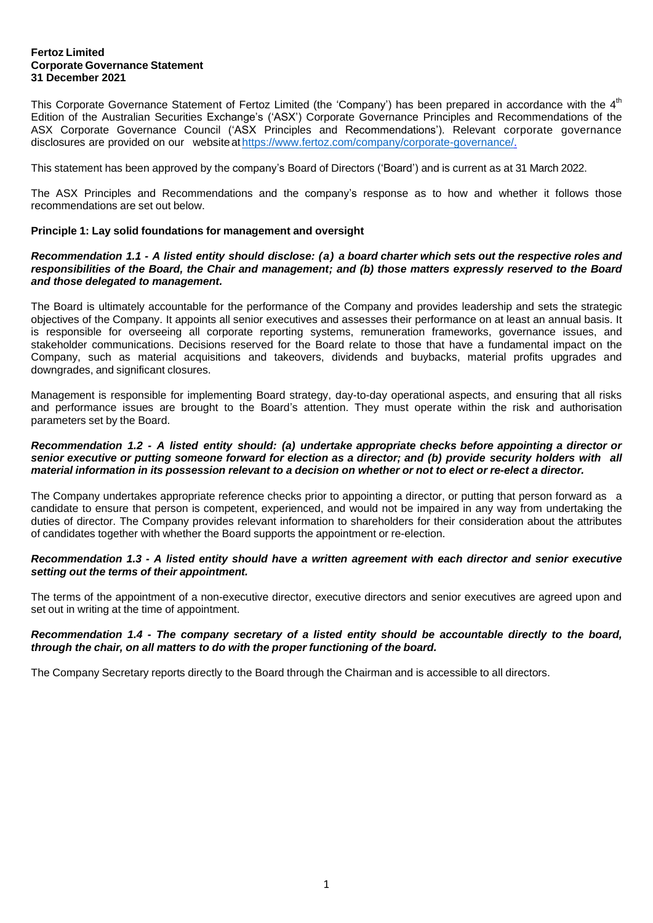This Corporate Governance Statement of Fertoz Limited (the 'Company') has been prepared in accordance with the 4<sup>th</sup> Edition of the Australian Securities Exchange's ('ASX') Corporate Governance Principles and Recommendations of the ASX Corporate Governance Council ('ASX Principles and Recommendations'). Relevant corporate governance disclosures are provided on our websiteat [https://www.fertoz.com/company/corporate-governance/.](https://www.fertoz.com/company/corporate-governance/)

This statement has been approved by the company's Board of Directors ('Board') and is current as at 31 March 2022.

The ASX Principles and Recommendations and the company's response as to how and whether it follows those recommendations are set out below.

# **Principle 1: Lay solid foundations for management and oversight**

### *Recommendation 1.1 - A listed entity should disclose: (a) a board charter which sets out the respective roles and responsibilities of the Board, the Chair and management; and (b) those matters expressly reserved to the Board and those delegated to management.*

The Board is ultimately accountable for the performance of the Company and provides leadership and sets the strategic objectives of the Company. It appoints all senior executives and assesses their performance on at least an annual basis. It is responsible for overseeing all corporate reporting systems, remuneration frameworks, governance issues, and stakeholder communications. Decisions reserved for the Board relate to those that have a fundamental impact on the Company, such as material acquisitions and takeovers, dividends and buybacks, material profits upgrades and downgrades, and significant closures.

Management is responsible for implementing Board strategy, day-to-day operational aspects, and ensuring that all risks and performance issues are brought to the Board's attention. They must operate within the risk and authorisation parameters set by the Board.

### *Recommendation 1.2 - A listed entity should: (a) undertake appropriate checks before appointing a director or senior executive or putting someone forward for election as a director; and (b) provide security holders with all* material information in its possession relevant to a decision on whether or not to elect or re-elect a director.

The Company undertakes appropriate reference checks prior to appointing a director, or putting that person forward as a candidate to ensure that person is competent, experienced, and would not be impaired in any way from undertaking the duties of director. The Company provides relevant information to shareholders for their consideration about the attributes of candidates together with whether the Board supports the appointment or re-election.

### Recommendation 1.3 - A listed entity should have a written agreement with each director and senior executive *setting out the terms of their appointment.*

The terms of the appointment of a non-executive director, executive directors and senior executives are agreed upon and set out in writing at the time of appointment.

## Recommendation 1.4 - The company secretary of a listed entity should be accountable directly to the board, *through the chair, on all matters to do with the proper functioning of the board.*

The Company Secretary reports directly to the Board through the Chairman and is accessible to all directors.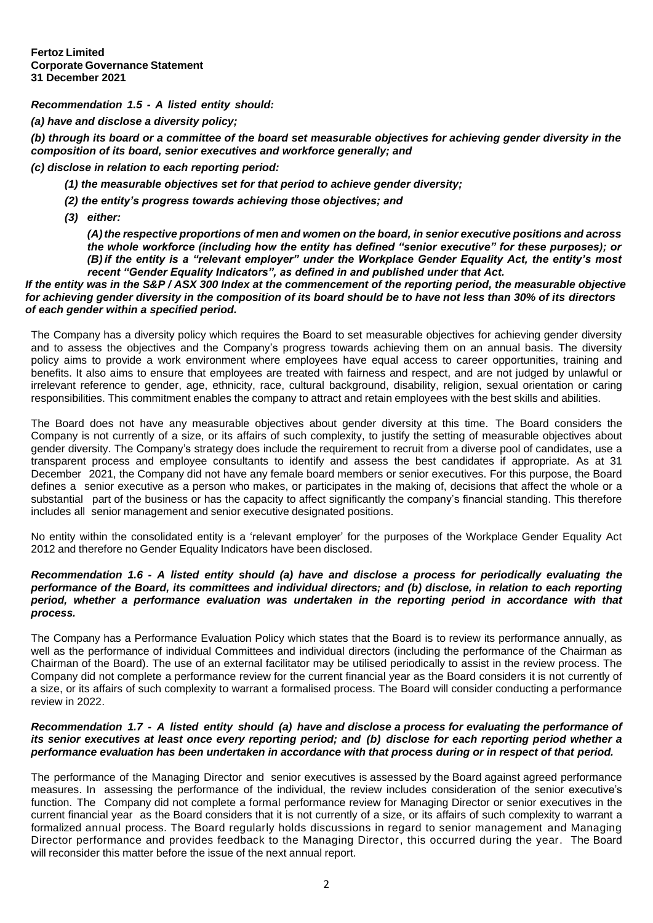# *Recommendation 1.5 - A listed entity should:*

*(a) have and disclose a diversity policy;* 

*(b) through its board or a committee of the board set measurable objectives for achieving gender diversity in the composition of its board, senior executives and workforce generally; and* 

### *(c) disclose in relation to each reporting period:*

- *(1) the measurable objectives set for that period to achieve gender diversity;*
- *(2) the entity's progress towards achieving those objectives; and*
- *(3) either:*

*(A)the respective proportions of men and women on the board, in senior executive positions and across the whole workforce (including how the entity has defined "senior executive" for these purposes); or (B)if the entity is a "relevant employer" under the Workplace Gender Equality Act, the entity's most recent "Gender Equality Indicators", as defined in and published under that Act.*

*If the entity was in the S&P / ASX 300 Index at the commencement of the reporting period, the measurable objective for achieving gender diversity in the composition of its board should be to have not less than 30% of its directors of each gender within a specified period.*

The Company has a diversity policy which requires the Board to set measurable objectives for achieving gender diversity and to assess the objectives and the Company's progress towards achieving them on an annual basis. The diversity policy aims to provide a work environment where employees have equal access to career opportunities, training and benefits. It also aims to ensure that employees are treated with fairness and respect, and are not judged by unlawful or irrelevant reference to gender, age, ethnicity, race, cultural background, disability, religion, sexual orientation or caring responsibilities. This commitment enables the company to attract and retain employees with the best skills and abilities.

The Board does not have any measurable objectives about gender diversity at this time. The Board considers the Company is not currently of a size, or its affairs of such complexity, to justify the setting of measurable objectives about gender diversity. The Company's strategy does include the requirement to recruit from a diverse pool of candidates, use a transparent process and employee consultants to identify and assess the best candidates if appropriate. As at 31 December 2021, the Company did not have any female board members or senior executives. For this purpose, the Board defines a senior executive as a person who makes, or participates in the making of, decisions that affect the whole or a substantial part of the business or has the capacity to affect significantly the company's financial standing. This therefore includes all senior management and senior executive designated positions.

No entity within the consolidated entity is a 'relevant employer' for the purposes of the Workplace Gender Equality Act 2012 and therefore no Gender Equality Indicators have been disclosed.

### Recommendation 1.6 - A listed entity should (a) have and disclose a process for periodically evaluating the performance of the Board, its committees and individual directors; and (b) disclose, in relation to each reporting *period, whether a performance evaluation was undertaken in the reporting period in accordance with that process.*

The Company has a Performance Evaluation Policy which states that the Board is to review its performance annually, as well as the performance of individual Committees and individual directors (including the performance of the Chairman as Chairman of the Board). The use of an external facilitator may be utilised periodically to assist in the review process. The Company did not complete a performance review for the current financial year as the Board considers it is not currently of a size, or its affairs of such complexity to warrant a formalised process. The Board will consider conducting a performance review in 2022.

## *Recommendation 1.7 - A listed entity should (a) have and disclose a process for evaluating the performance of its senior executives at least once every reporting period; and (b) disclose for each reporting period whether a performance evaluation has been undertaken in accordance with that process during or in respect of that period.*

The performance of the Managing Director and senior executives is assessed by the Board against agreed performance measures. In assessing the performance of the individual, the review includes consideration of the senior executive's function. The Company did not complete a formal performance review for Managing Director or senior executives in the current financial year as the Board considers that it is not currently of a size, or its affairs of such complexity to warrant a formalized annual process. The Board regularly holds discussions in regard to senior management and Managing Director performance and provides feedback to the Managing Director, this occurred during the year. The Board will reconsider this matter before the issue of the next annual report.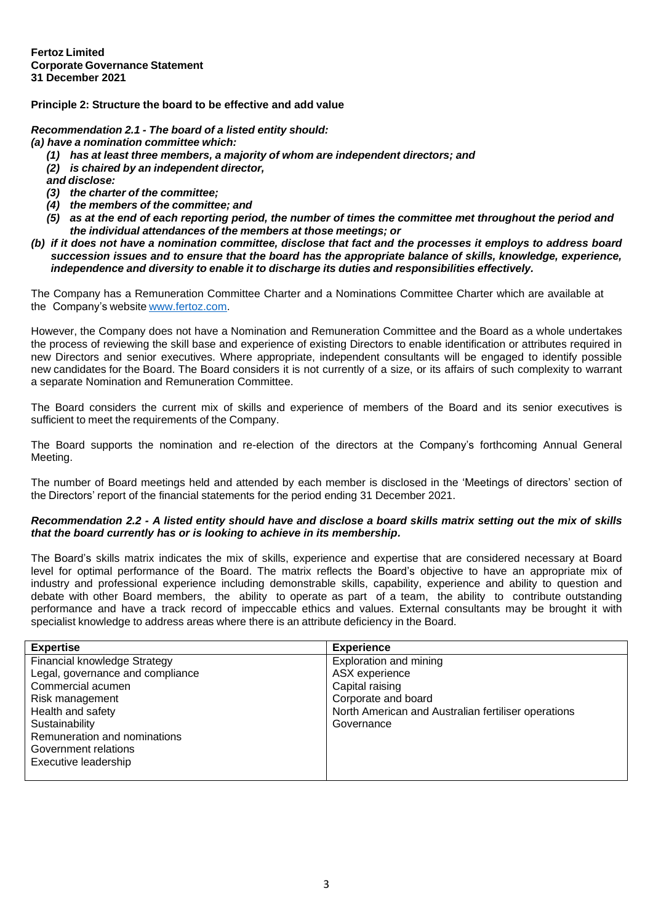# **Principle 2: Structure the board to be effective and add value**

*Recommendation 2.1 - The board of a listed entity should:*

*(a) have a nomination committee which:*

- *(1) has at least three members, a majority of whom are independent directors; and*
- *(2) is chaired by an independent director,*

*and disclose:*

- *(3) the charter of the committee;*
- *(4) the members of the committee; and*
- *(5) as at the end of each reporting period, the number of times the committee met throughout the period and the individual attendances of the members at those meetings; or*
- *(b) if it does not have a nomination committee, disclose that fact and the processes it employs to address board succession issues and to ensure that the board has the appropriate balance of skills, knowledge, experience, independence and diversity to enable it to discharge its duties and responsibilities effectively.*

The Company has a Remuneration Committee Charter and a Nominations Committee Charter which are available at the Company's website [www.fertoz.com.](http://www.fertoz.com/)

However, the Company does not have a Nomination and Remuneration Committee and the Board as a whole undertakes the process of reviewing the skill base and experience of existing Directors to enable identification or attributes required in new Directors and senior executives. Where appropriate, independent consultants will be engaged to identify possible new candidates for the Board. The Board considers it is not currently of a size, or its affairs of such complexity to warrant a separate Nomination and Remuneration Committee.

The Board considers the current mix of skills and experience of members of the Board and its senior executives is sufficient to meet the requirements of the Company.

The Board supports the nomination and re-election of the directors at the Company's forthcoming Annual General Meeting.

The number of Board meetings held and attended by each member is disclosed in the 'Meetings of directors' section of the Directors' report of the financial statements for the period ending 31 December 2021.

### *Recommendation 2.2 - A listed entity should have and disclose a board skills matrix setting out the mix of skills that the board currently has or is looking to achieve in its membership.*

The Board's skills matrix indicates the mix of skills, experience and expertise that are considered necessary at Board level for optimal performance of the Board. The matrix reflects the Board's objective to have an appropriate mix of industry and professional experience including demonstrable skills, capability, experience and ability to question and debate with other Board members, the ability to operate as part of a team, the ability to contribute outstanding performance and have a track record of impeccable ethics and values. External consultants may be brought it with specialist knowledge to address areas where there is an attribute deficiency in the Board.

| <b>Expertise</b>                 | <b>Experience</b>                                   |
|----------------------------------|-----------------------------------------------------|
| Financial knowledge Strategy     | Exploration and mining                              |
| Legal, governance and compliance | ASX experience                                      |
| Commercial acumen                | Capital raising                                     |
| Risk management                  | Corporate and board                                 |
| Health and safety                | North American and Australian fertiliser operations |
| Sustainability                   | Governance                                          |
| Remuneration and nominations     |                                                     |
| Government relations             |                                                     |
| Executive leadership             |                                                     |
|                                  |                                                     |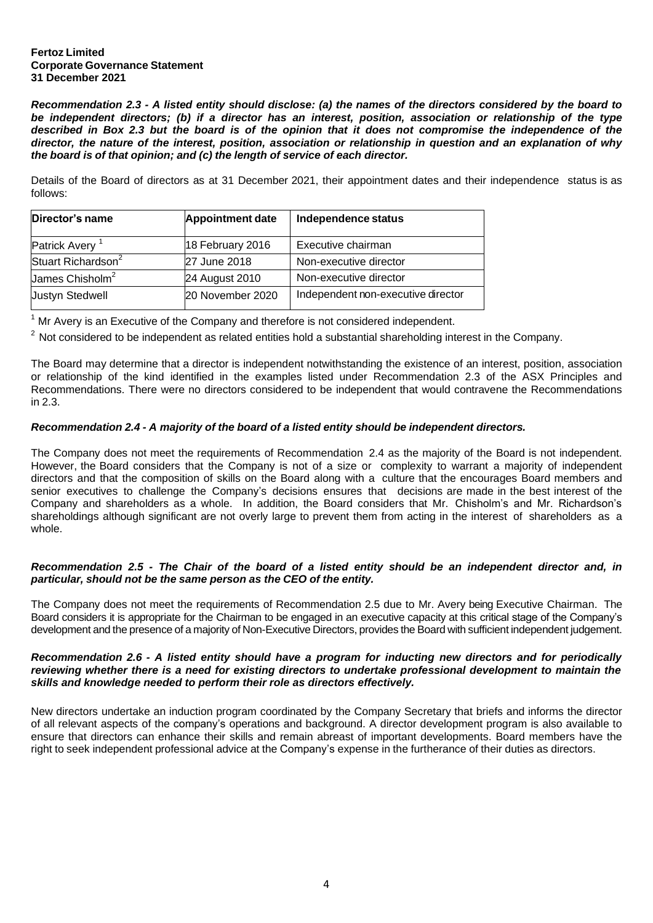<span id="page-3-0"></span>Recommendation 2.3 - A listed entity should disclose: (a) the names of the directors considered by the board to be independent directors; (b) if a director has an interest, position, association or relationship of the type described in Box 2.3 but the board is of the opinion that it does not compromise the independence of the director, the nature of the interest, position, association or relationship in question and an explanation of why *the board is of that opinion; and (c) the length of service of each director.*

Details of the Board of directors as at 31 December 2021, their appointment dates and their independence status is as follows:

| Director's name                | <b>Appointment date</b> | Independence status                |
|--------------------------------|-------------------------|------------------------------------|
| <b>Patrick Avery</b>           | 18 February 2016        | Executive chairman                 |
| Stuart Richardson <sup>2</sup> | 27 June 2018            | Non-executive director             |
| James Chisholm <sup>2</sup>    | 24 August 2010          | Non-executive director             |
| <b>Justyn Stedwell</b>         | 20 November 2020        | Independent non-executive director |

Mr Avery is an Executive of the Company and therefore is not considered independent.

 $2$  Not considered to be independent as related entities hold a substantial shareholding interest in the Company.

The Board may determine that a director is independent notwithstanding the existence of an interest, position, association or relationship of the kind identified in the examples listed under Recommendation 2.3 of the ASX Principles and Recommendations. There were no directors considered to be independent that would contravene the Recommendations in 2.3.

# *Recommendation 2.4 - A majority of the board of a listed entity should be independent directors.*

The Company does not meet the requirements of Recommendation 2.4 as the majority of the Board is not independent. However, the Board considers that the Company is not of a size or complexity to warrant a majority of independent directors and that the composition of skills on the Board along with a culture that the encourages Board members and senior executives to challenge the Company's decisions ensures that decisions are made in the best interest of the Company and shareholders as a whole. In addition, the Board considers that Mr. Chisholm's and Mr. Richardson's shareholdings although significant are not overly large to prevent them from acting in the interest of shareholders as a whole.

## Recommendation 2.5 - The Chair of the board of a listed entity should be an independent director and, in *particular, should not be the same person as the CEO of the entity.*

The Company does not meet the requirements of Recommendation 2.5 due to Mr. Avery being Executive Chairman. The Board considers it is appropriate for the Chairman to be engaged in an executive capacity at this critical stage of the Company's development and the presence of a majority of Non-Executive Directors, provides the Board with sufficient independent judgement.

## *Recommendation 2.6 - A listed entity should have a program for inducting new directors and for periodically reviewing whether there is a need for existing directors to undertake professional development to maintain the skills and knowledge needed to perform their role as directors effectively.*

New directors undertake an induction program coordinated by the Company Secretary that briefs and informs the director of all relevant aspects of the company's operations and background. A director development program is also available to ensure that directors can enhance their skills and remain abreast of important developments. Board members have the right to seek independent professional advice at the Company's expense in the furtherance of their duties as directors.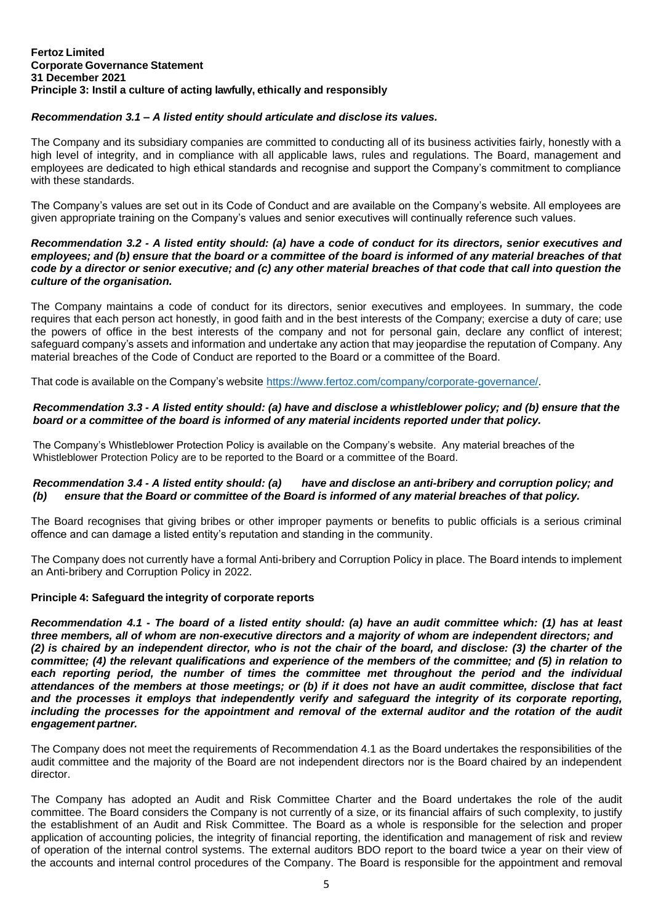### **Fertoz Limited Corporate Governance Statement 31 December 2021 Principle 3: Instil a culture of acting lawfully, ethically and responsibly**

# *Recommendation 3.1 – A listed entity should articulate and disclose its values.*

The Company and its subsidiary companies are committed to conducting all of its business activities fairly, honestly with a high level of integrity, and in compliance with all applicable laws, rules and regulations. The Board, management and employees are dedicated to high ethical standards and recognise and support the Company's commitment to compliance with these standards.

The Company's values are set out in its Code of Conduct and are available on the Company's website. All employees are given appropriate training on the Company's values and senior executives will continually reference such values.

### Recommendation 3.2 - A listed entity should: (a) have a code of conduct for its directors, senior executives and *employees; and (b) ensure that the board or a committee of the board is informed of any material breaches of that code by a director or senior executive; and (c) any other material breaches of that code that call into question the culture of the organisation.*

The Company maintains a code of conduct for its directors, senior executives and employees. In summary, the code requires that each person act honestly, in good faith and in the best interests of the Company; exercise a duty of care; use the powers of office in the best interests of the company and not for personal gain, declare any conflict of interest; safeguard company's assets and information and undertake any action that may jeopardise the reputation of Company. Any material breaches of the Code of Conduct are reported to the Board or a committee of the Board.

That code is available on the Company's website <https://www.fertoz.com/company/corporate-governance/>[.](http://www.fertoz.com/corporate/corporate-governance.html)

## *Recommendation 3.3 - A listed entity should: (a) have and disclose a whistleblower policy; and (b) ensure that the board or a committee of the board is informed of any material incidents reported under that policy.*

The Company's Whistleblower Protection Policy is available on the Company's website. Any material breaches of the Whistleblower Protection Policy are to be reported to the Board or a committee of the Board.

## *Recommendation 3.4 - A listed entity should: (a) have and disclose an anti-bribery and corruption policy; and (b) ensure that the Board or committee of the Board is informed of any material breaches of that policy.*

The Board recognises that giving bribes or other improper payments or benefits to public officials is a serious criminal offence and can damage a listed entity's reputation and standing in the community.

The Company does not currently have a formal Anti-bribery and Corruption Policy in place. The Board intends to implement an Anti-bribery and Corruption Policy in 2022.

# **Principle 4: Safeguard the integrity of corporate reports**

Recommendation 4.1 - The board of a listed entity should: (a) have an audit committee which: (1) has at least three members, all of whom are non-executive directors and a majority of whom are independent directors; and (2) is chaired by an independent director, who is not the chair of the board, and disclose: (3) the charter of the committee; (4) the relevant qualifications and experience of the members of the committee; and (5) in relation to *each reporting period, the number of times the committee met throughout the period and the individual* attendances of the members at those meetings; or (b) if it does not have an audit committee, disclose that fact *and the processes it employs that independently verify and safeguard the integrity of its corporate reporting,* including the processes for the appointment and removal of the external auditor and the rotation of the audit *engagement partner.*

The Company does not meet the requirements of Recommendation 4.1 as the Board undertakes the responsibilities of the audit committee and the majority of the Board are not independent directors nor is the Board chaired by an independent director.

The Company has adopted an Audit and Risk Committee Charter and the Board undertakes the role of the audit committee. The Board considers the Company is not currently of a size, or its financial affairs of such complexity, to justify the establishment of an Audit and Risk Committee. The Board as a whole is responsible for the selection and proper application of accounting policies, the integrity of financial reporting, the identification and management of risk and review of operation of the internal control systems. The external auditors BDO report to the board twice a year on their view of the accounts and internal control procedures of the Company. The Board is responsible for the appointment and removal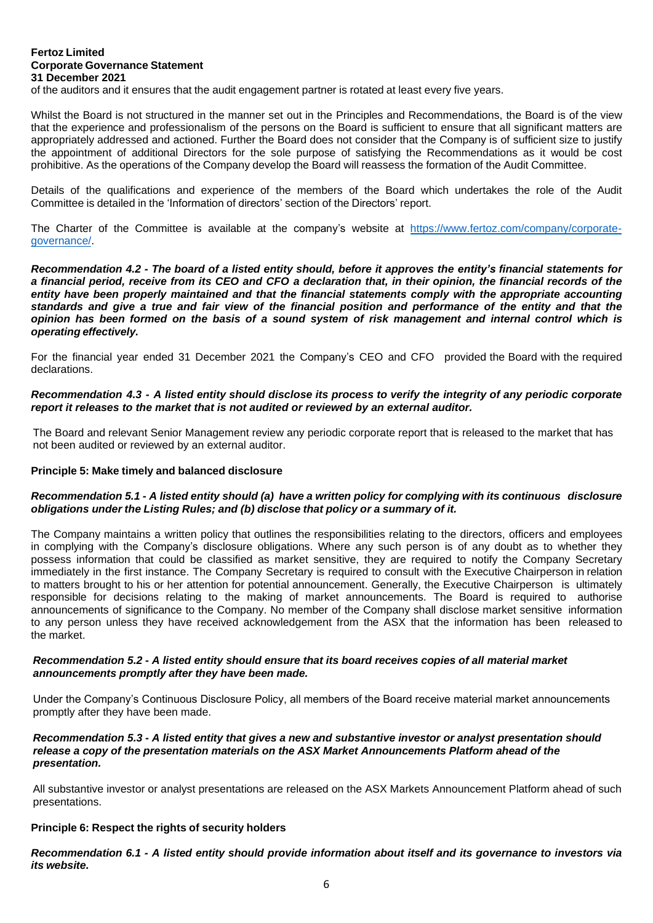of the auditors and it ensures that the audit engagement partner is rotated at least every five years.

Whilst the Board is not structured in the manner set out in the Principles and Recommendations, the Board is of the view that the experience and professionalism of the persons on the Board is sufficient to ensure that all significant matters are appropriately addressed and actioned. Further the Board does not consider that the Company is of sufficient size to justify the appointment of additional Directors for the sole purpose of satisfying the Recommendations as it would be cost prohibitive. As the operations of the Company develop the Board will reassess the formation of the Audit Committee.

Details of the qualifications and experience of the members of the Board which undertakes the role of the Audit Committee is detailed in the 'Information of directors' section of the Directors' report.

The Charter of the Committee is available at the company's website at [https://www.fertoz.com/company/corporate](https://www.fertoz.com/company/corporate-governance/)[governance/](https://www.fertoz.com/company/corporate-governance/)[.](http://www.fertoz.com/corporate/corporate-governance.html)

Recommendation 4.2 - The board of a listed entity should, before it approves the entity's financial statements for a financial period, receive from its CEO and CFO a declaration that, in their opinion, the financial records of the *entity have been properly maintained and that the financial statements comply with the appropriate accounting* standards and give a true and fair view of the financial position and performance of the entity and that the opinion has been formed on the basis of a sound system of risk management and internal control which is *operating effectively.*

For the financial year ended 31 December 2021 the Company's CEO and CFO provided the Board with the required declarations.

## *Recommendation 4.3 - A listed entity should disclose its process to verify the integrity of any periodic corporate report it releases to the market that is not audited or reviewed by an external auditor.*

The Board and relevant Senior Management review any periodic corporate report that is released to the market that has not been audited or reviewed by an external auditor.

# **Principle 5: Make timely and balanced disclosure**

## Recommendation 5.1 - A listed entity should (a) have a written policy for complying with its continuous disclosure *obligations under the Listing Rules; and (b) disclose that policy or a summary of it.*

The Company maintains a written policy that outlines the responsibilities relating to the directors, officers and employees in complying with the Company's disclosure obligations. Where any such person is of any doubt as to whether they possess information that could be classified as market sensitive, they are required to notify the Company Secretary immediately in the first instance. The Company Secretary is required to consult with the Executive Chairperson in relation to matters brought to his or her attention for potential announcement. Generally, the Executive Chairperson is ultimately responsible for decisions relating to the making of market announcements. The Board is required to authorise announcements of significance to the Company. No member of the Company shall disclose market sensitive information to any person unless they have received acknowledgement from the ASX that the information has been released to the market.

## *Recommendation 5.2 - A listed entity should ensure that its board receives copies of all material market announcements promptly after they have been made.*

Under the Company's Continuous Disclosure Policy, all members of the Board receive material market announcements promptly after they have been made.

#### *Recommendation 5.3 - A listed entity that gives a new and substantive investor or analyst presentation should release a copy of the presentation materials on the ASX Market Announcements Platform ahead of the presentation.*

All substantive investor or analyst presentations are released on the ASX Markets Announcement Platform ahead of such presentations.

# **Principle 6: Respect the rights of security holders**

Recommendation 6.1 - A listed entity should provide information about itself and its governance to investors via *its website.*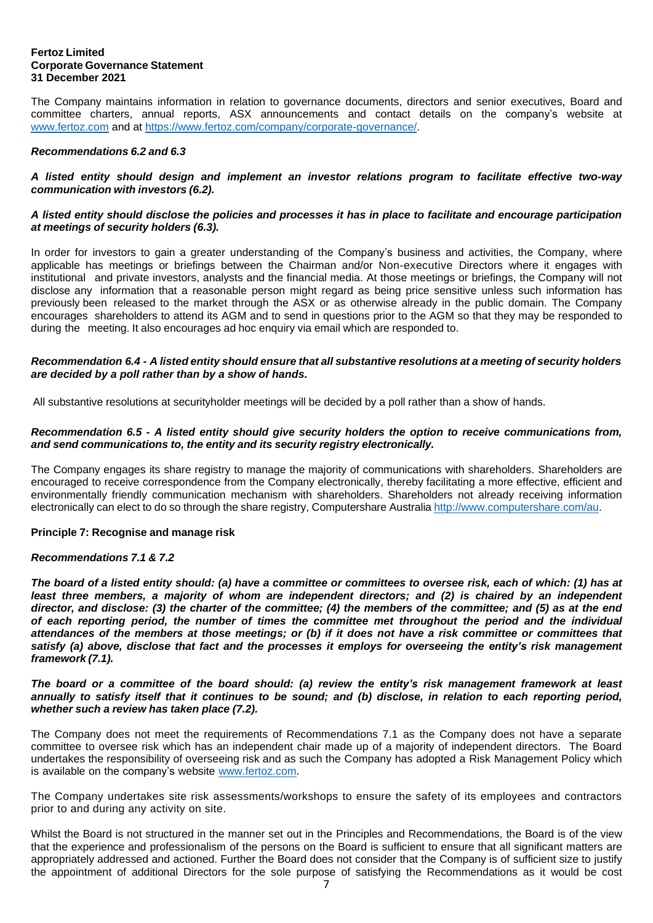The Company maintains information in relation to governance documents, directors and senior executives, Board and committee charters, annual reports, ASX announcements and contact details on the company's website at [www.fertoz.com](http://www.fertoz.com/) and at<https://www.fertoz.com/company/corporate-governance/>[.](http://www.fertoz.com/corporate/corporate-governance.html)

## *Recommendations 6.2 and 6.3*

## *A listed entity should design and implement an investor relations program to facilitate effective two-way communication with investors (6.2).*

## *A listed entity should disclose the policies and processes it has in place to facilitate and encourage participation at meetings of security holders (6.3).*

In order for investors to gain a greater understanding of the Company's business and activities, the Company, where applicable has meetings or briefings between the Chairman and/or Non-executive Directors where it engages with institutional and private investors, analysts and the financial media. At those meetings or briefings, the Company will not disclose any information that a reasonable person might regard as being price sensitive unless such information has previously been released to the market through the ASX or as otherwise already in the public domain. The Company encourages shareholders to attend its AGM and to send in questions prior to the AGM so that they may be responded to during the meeting. It also encourages ad hoc enquiry via email which are responded to.

## *Recommendation 6.4 - A listed entity should ensure that all substantive resolutions at a meeting of security holders are decided by a poll rather than by a show of hands.*

All substantive resolutions at securityholder meetings will be decided by a poll rather than a show of hands.

## *Recommendation 6.5 - A listed entity should give security holders the option to receive communications from, and send communications to, the entity and its security registry electronically.*

The Company engages its share registry to manage the majority of communications with shareholders. Shareholders are encouraged to receive correspondence from the Company electronically, thereby facilitating a more effective, efficient and environmentally friendly communication mechanism with shareholders. Shareholders not already receiving information electronically can elect to do so through the share registry, Computershare Australia [http://www.computershare.com/au.](http://www.computershare.com/au)

### **Principle 7: Recognise and manage risk**

### *Recommendations 7.1 & 7.2*

The board of a listed entity should: (a) have a committee or committees to oversee risk, each of which: (1) has at *least three members, a majority of whom are independent directors; and (2) is chaired by an independent* director, and disclose: (3) the charter of the committee; (4) the members of the committee; and (5) as at the end *of each reporting period, the number of times the committee met throughout the period and the individual* attendances of the members at those meetings; or (b) if it does not have a risk committee or committees that satisfy (a) above, disclose that fact and the processes it employs for overseeing the entity's risk management *framework (7.1).*

### The board or a committee of the board should: (a) review the entity's risk management framework at least annually to satisfy itself that it continues to be sound; and (b) disclose, in relation to each reporting period, *whether such a review has taken place (7.2).*

The Company does not meet the requirements of Recommendations 7.1 as the Company does not have a separate committee to oversee risk which has an independent chair made up of a majority of independent directors. The Board undertakes the responsibility of overseeing risk and as such the Company has adopted a Risk Management Policy which is available on the company's website [www.fertoz.com.](http://www.fertoz.com/)

The Company undertakes site risk assessments/workshops to ensure the safety of its employees and contractors prior to and during any activity on site.

Whilst the Board is not structured in the manner set out in the Principles and Recommendations, the Board is of the view that the experience and professionalism of the persons on the Board is sufficient to ensure that all significant matters are appropriately addressed and actioned. Further the Board does not consider that the Company is of sufficient size to justify the appointment of additional Directors for the sole purpose of satisfying the Recommendations as it would be cost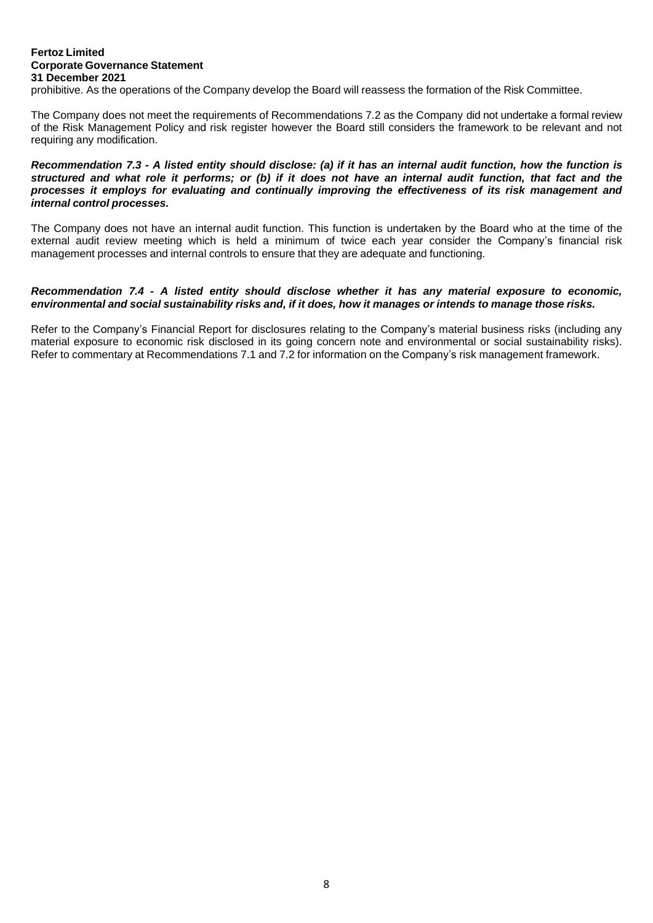prohibitive. As the operations of the Company develop the Board will reassess the formation of the Risk Committee.

The Company does not meet the requirements of Recommendations 7.2 as the Company did not undertake a formal review of the Risk Management Policy and risk register however the Board still considers the framework to be relevant and not requiring any modification.

## Recommendation 7.3 - A listed entity should disclose: (a) if it has an internal audit function, how the function is structured and what role it performs; or (b) if it does not have an internal audit function, that fact and the *processes it employs for evaluating and continually improving the effectiveness of its risk management and internal control processes.*

The Company does not have an internal audit function. This function is undertaken by the Board who at the time of the external audit review meeting which is held a minimum of twice each year consider the Company's financial risk management processes and internal controls to ensure that they are adequate and functioning.

# *Recommendation 7.4 - A listed entity should disclose whether it has any material exposure to economic,* environmental and social sustainability risks and, if it does, how it manages or intends to manage those risks.

Refer to the Company's Financial Report for disclosures relating to the Company's material business risks (including any material exposure to economic risk disclosed in its going concern note and environmental or social sustainability risks). Refer to commentary at Recommendations 7.1 and 7.2 for information on the Company's risk management framework.